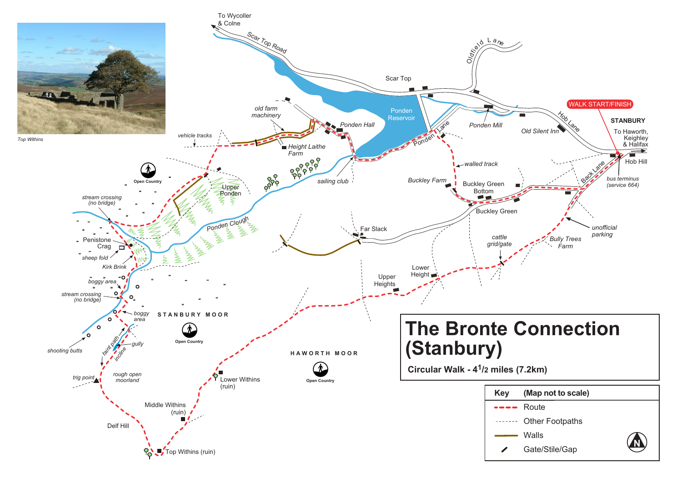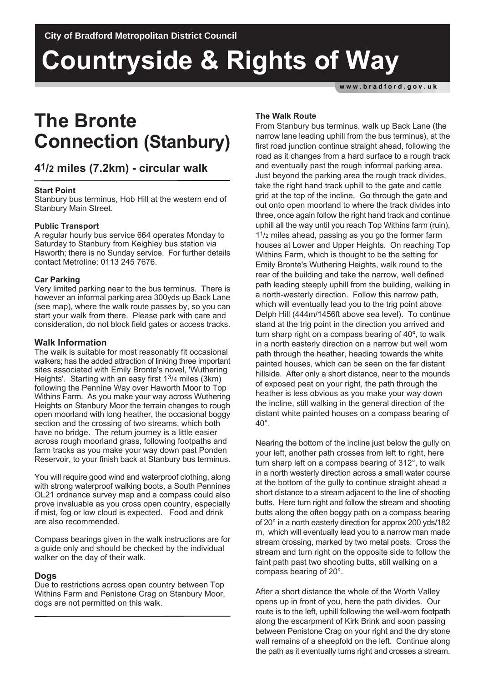# **Countryside & Rights of Way**

www.bradford.gov.uk

# **The Bronte Connection (Stanbury)**

# **41/2 miles (7.2km) - circular walk**

# **Start Point**

Stanbury bus terminus, Hob Hill at the western end of Stanbury Main Street.

# **Public Transport**

A regular hourly bus service 664 operates Monday to Saturday to Stanbury from Keighley bus station via Haworth; there is no Sunday service. For further details contact Metroline: 0113 245 7676.

# **Car Parking**

Very limited parking near to the bus terminus. There is however an informal parking area 300yds up Back Lane (see map), where the walk route passes by, so you can start your walk from there. Please park with care and consideration, do not block field gates or access tracks.

# **Walk Information**

The walk is suitable for most reasonably fit occasional walkers; has the added attraction of linking three important sites associated with Emily Bronte's novel, 'Wuthering Heights'. Starting with an easy first 13/4 miles (3km) following the Pennine Way over Haworth Moor to Top Withins Farm. As you make your way across Wuthering Heights on Stanbury Moor the terrain changes to rough open moorland with long heather, the occasional boggy section and the crossing of two streams, which both have no bridge. The return journey is a little easier across rough moorland grass, following footpaths and farm tracks as you make your way down past Ponden Reservoir, to your finish back at Stanbury bus terminus.

You will require good wind and waterproof clothing, along with strong waterproof walking boots, a South Pennines OL21 ordnance survey map and a compass could also prove invaluable as you cross open country, especially if mist, fog or low cloud is expected. Food and drink are also recommended.

Compass bearings given in the walk instructions are for a guide only and should be checked by the individual walker on the day of their walk.

# **Dogs**

Due to restrictions across open country between Top Withins Farm and Penistone Crag on Stanbury Moor, dogs are not permitted on this walk.

# **The Walk Route**

From Stanbury bus terminus, walk up Back Lane (the narrow lane leading uphill from the bus terminus), at the first road junction continue straight ahead, following the road as it changes from a hard surface to a rough track and eventually past the rough informal parking area. Just beyond the parking area the rough track divides, take the right hand track uphill to the gate and cattle grid at the top of the incline. Go through the gate and out onto open moorland to where the track divides into three, once again follow the right hand track and continue uphill all the way until you reach Top Withins farm (ruin), 1 <sup>1</sup>/2 miles ahead, passing as you go the former farm houses at Lower and Upper Heights. On reaching Top Withins Farm, which is thought to be the setting for Emily Bronte's Wuthering Heights, walk round to the rear of the building and take the narrow, well defined path leading steeply uphill from the building, walking in a north-westerly direction. Follow this narrow path, which will eventually lead you to the trig point above Delph Hill (444m/1456ft above sea level). To continue stand at the trig point in the direction you arrived and turn sharp right on a compass bearing of 40º, to walk in a north easterly direction on a narrow but well worn path through the heather, heading towards the white painted houses, which can be seen on the far distant hillside. After only a short distance, near to the mounds of exposed peat on your right, the path through the heather is less obvious as you make your way down the incline, still walking in the general direction of the distant white painted houses on a compass bearing of 40°.

Nearing the bottom of the incline just below the gully on your left, another path crosses from left to right, here turn sharp left on a compass bearing of 312°, to walk in a north westerly direction across a small water course at the bottom of the gully to continue straight ahead a short distance to a stream adjacent to the line of shooting butts. Here turn right and follow the stream and shooting butts along the often boggy path on a compass bearing of 20° in a north easterly direction for approx 200 yds/182 m, which will eventually lead you to a narrow man made stream crossing, marked by two metal posts. Cross the stream and turn right on the opposite side to follow the faint path past two shooting butts, still walking on a compass bearing of 20°.

After a short distance the whole of the Worth Valley opens up in front of you, here the path divides. Our route is to the left, uphill following the well-worn footpath along the escarpment of Kirk Brink and soon passing between Penistone Crag on your right and the dry stone wall remains of a sheepfold on the left. Continue along the path as it eventually turns right and crosses a stream.